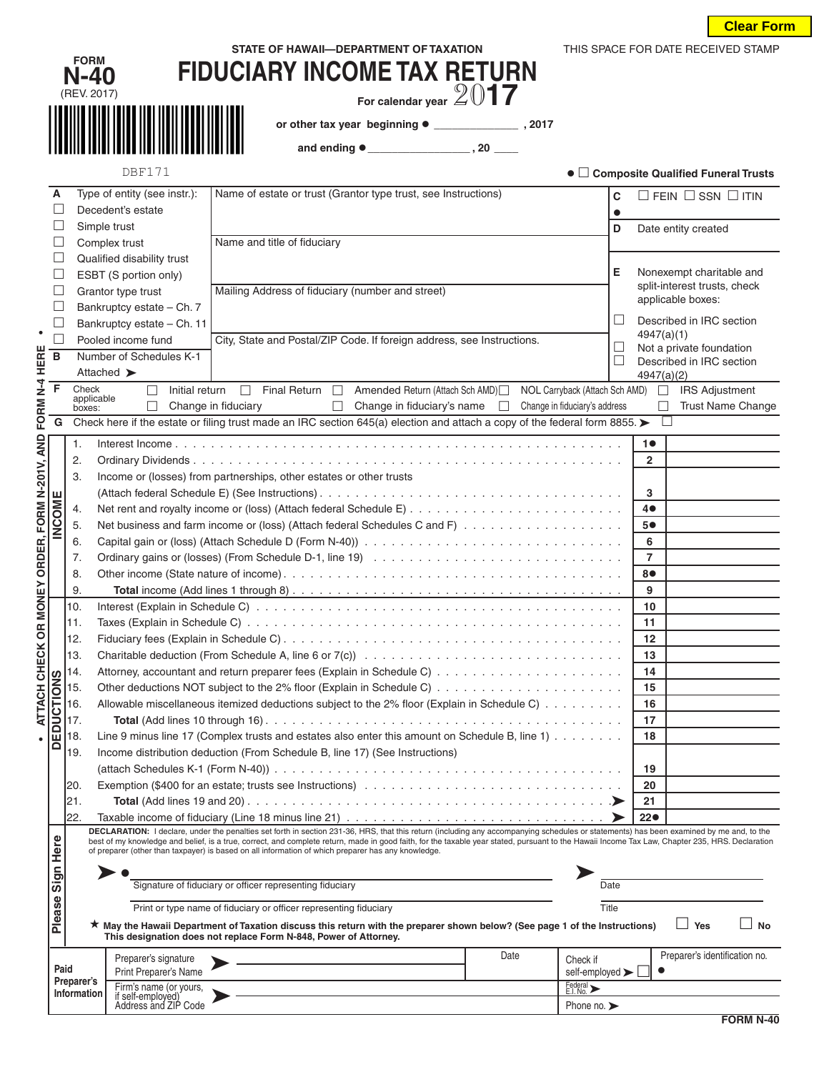|  | <u>Clear Form</u> |  |  |
|--|-------------------|--|--|
|--|-------------------|--|--|

|                                  |                    | <b>FORM</b><br>N-40                               | STATE OF HAWAII-DEPARTMENT OF TAXATION<br><b>FIDUCIARY INCOME TAX RETURN</b>                                                                                                                                                                                                                                                                                                                                                                                                                     |           |                | THIS SPACE FOR DATE RECEIVED STAMP   |
|----------------------------------|--------------------|---------------------------------------------------|--------------------------------------------------------------------------------------------------------------------------------------------------------------------------------------------------------------------------------------------------------------------------------------------------------------------------------------------------------------------------------------------------------------------------------------------------------------------------------------------------|-----------|----------------|--------------------------------------|
|                                  |                    | (REV. 2017)                                       | For calendar year $2017$                                                                                                                                                                                                                                                                                                                                                                                                                                                                         |           |                |                                      |
|                                  |                    |                                                   |                                                                                                                                                                                                                                                                                                                                                                                                                                                                                                  |           |                |                                      |
|                                  |                    |                                                   | or other tax year beginning • _______________, 2017                                                                                                                                                                                                                                                                                                                                                                                                                                              |           |                |                                      |
|                                  |                    |                                                   |                                                                                                                                                                                                                                                                                                                                                                                                                                                                                                  |           |                |                                      |
|                                  |                    | <b>DBF171</b>                                     |                                                                                                                                                                                                                                                                                                                                                                                                                                                                                                  |           |                | • Composite Qualified Funeral Trusts |
| A<br>$\Box$                      |                    | Type of entity (see instr.):<br>Decedent's estate | Name of estate or trust (Grantor type trust, see Instructions)                                                                                                                                                                                                                                                                                                                                                                                                                                   | C         |                | $\Box$ FEIN $\Box$ SSN $\Box$ ITIN   |
| ш                                |                    | Simple trust                                      |                                                                                                                                                                                                                                                                                                                                                                                                                                                                                                  | $\bullet$ |                |                                      |
| ш                                |                    | Complex trust                                     | Name and title of fiduciary                                                                                                                                                                                                                                                                                                                                                                                                                                                                      | D         |                | Date entity created                  |
| ш                                |                    | Qualified disability trust                        |                                                                                                                                                                                                                                                                                                                                                                                                                                                                                                  |           |                |                                      |
| ш                                |                    | ESBT (S portion only)                             |                                                                                                                                                                                                                                                                                                                                                                                                                                                                                                  | Е         |                | Nonexempt charitable and             |
| ш                                |                    | Grantor type trust                                | Mailing Address of fiduciary (number and street)                                                                                                                                                                                                                                                                                                                                                                                                                                                 |           |                | split-interest trusts, check         |
| $\Box$                           |                    | Bankruptcy estate - Ch. 7                         |                                                                                                                                                                                                                                                                                                                                                                                                                                                                                                  |           |                | applicable boxes:                    |
| $\Box$<br>$\bullet$              |                    | Bankruptcy estate - Ch. 11                        |                                                                                                                                                                                                                                                                                                                                                                                                                                                                                                  | $\Box$    |                | Described in IRC section             |
| $\overline{a}$                   |                    | Pooled income fund                                | City, State and Postal/ZIP Code. If foreign address, see Instructions.                                                                                                                                                                                                                                                                                                                                                                                                                           | ப         | 4947(a)(1)     | Not a private foundation             |
| B                                |                    | Number of Schedules K-1                           |                                                                                                                                                                                                                                                                                                                                                                                                                                                                                                  | $\Box$    |                | Described in IRC section             |
|                                  |                    | Attached >                                        |                                                                                                                                                                                                                                                                                                                                                                                                                                                                                                  |           | 4947(a)(2)     |                                      |
| FORM N-4 HERE<br>F               | Check              | Initial return<br>П<br>applicable                 | NOL Carryback (Attach Sch AMD)<br>Final Return $\Box$<br>Amended Return (Attach Sch AMD)<br>$\Box$                                                                                                                                                                                                                                                                                                                                                                                               |           |                | <b>IRS Adjustment</b>                |
|                                  | boxes:             |                                                   | Change in fiduciary<br>П<br>Change in fiduciary's name<br>Change in fiduciary's address<br>$\mathbf{1}$<br>Check here if the estate or filing trust made an IRC section 645(a) election and attach a copy of the federal form 8855. $\blacktriangleright$                                                                                                                                                                                                                                        |           | $\Box$         | <b>Trust Name Change</b>             |
|                                  | G                  |                                                   |                                                                                                                                                                                                                                                                                                                                                                                                                                                                                                  |           |                |                                      |
| OR MONEY ORDER, FORM N-201V, AND | 1.                 |                                                   |                                                                                                                                                                                                                                                                                                                                                                                                                                                                                                  |           | 10             |                                      |
|                                  | 2.                 |                                                   |                                                                                                                                                                                                                                                                                                                                                                                                                                                                                                  |           | $\overline{2}$ |                                      |
|                                  | 3.                 |                                                   | Income or (losses) from partnerships, other estates or other trusts                                                                                                                                                                                                                                                                                                                                                                                                                              |           |                |                                      |
| INCOME                           |                    |                                                   |                                                                                                                                                                                                                                                                                                                                                                                                                                                                                                  |           | 3<br>40        |                                      |
|                                  | 4.<br>5.           |                                                   | Net business and farm income or (loss) (Attach federal Schedules C and F)                                                                                                                                                                                                                                                                                                                                                                                                                        |           | 5●             |                                      |
|                                  | 6.                 |                                                   |                                                                                                                                                                                                                                                                                                                                                                                                                                                                                                  |           | 6              |                                      |
|                                  | 7.                 |                                                   |                                                                                                                                                                                                                                                                                                                                                                                                                                                                                                  |           | $\overline{7}$ |                                      |
|                                  | 8.                 |                                                   |                                                                                                                                                                                                                                                                                                                                                                                                                                                                                                  |           | 8●             |                                      |
|                                  | 9.                 |                                                   |                                                                                                                                                                                                                                                                                                                                                                                                                                                                                                  |           | 9              |                                      |
|                                  | 10.                |                                                   |                                                                                                                                                                                                                                                                                                                                                                                                                                                                                                  |           | 10             |                                      |
|                                  | 11.                |                                                   |                                                                                                                                                                                                                                                                                                                                                                                                                                                                                                  |           | 11             |                                      |
|                                  | 12.                |                                                   |                                                                                                                                                                                                                                                                                                                                                                                                                                                                                                  |           | 12             |                                      |
| ATTACH CHECK                     | 13.                |                                                   |                                                                                                                                                                                                                                                                                                                                                                                                                                                                                                  |           | 13             |                                      |
|                                  | 14.                |                                                   |                                                                                                                                                                                                                                                                                                                                                                                                                                                                                                  |           | 14             |                                      |
|                                  | 15.<br>16.         |                                                   | Allowable miscellaneous itemized deductions subject to the 2% floor (Explain in Schedule C)                                                                                                                                                                                                                                                                                                                                                                                                      |           | 15<br>16       |                                      |
|                                  | 17.                |                                                   |                                                                                                                                                                                                                                                                                                                                                                                                                                                                                                  |           | 17             |                                      |
| EDUCTIONS                        | 18.                |                                                   | Line 9 minus line 17 (Complex trusts and estates also enter this amount on Schedule B, line 1)                                                                                                                                                                                                                                                                                                                                                                                                   |           | 18             |                                      |
| ≏                                | 19.                |                                                   | Income distribution deduction (From Schedule B, line 17) (See Instructions)                                                                                                                                                                                                                                                                                                                                                                                                                      |           |                |                                      |
|                                  |                    |                                                   |                                                                                                                                                                                                                                                                                                                                                                                                                                                                                                  |           | 19             |                                      |
|                                  | 20.                |                                                   |                                                                                                                                                                                                                                                                                                                                                                                                                                                                                                  |           | 20             |                                      |
|                                  | 21.                |                                                   |                                                                                                                                                                                                                                                                                                                                                                                                                                                                                                  |           | 21             |                                      |
|                                  | 22.                |                                                   |                                                                                                                                                                                                                                                                                                                                                                                                                                                                                                  |           | 22●            |                                      |
| Sign Here                        |                    |                                                   | DECLARATION: I declare, under the penalties set forth in section 231-36, HRS, that this return (including any accompanying schedules or statements) has been examined by me and, to the<br>best of my knowledge and belief, is a true, correct, and complete return, made in good faith, for the taxable year stated, pursuant to the Hawaii Income Tax Law, Chapter 235, HRS. Declaration<br>of preparer (other than taxpayer) is based on all information of which preparer has any knowledge. |           |                |                                      |
|                                  |                    |                                                   |                                                                                                                                                                                                                                                                                                                                                                                                                                                                                                  |           |                |                                      |
|                                  |                    |                                                   | Signature of fiduciary or officer representing fiduciary                                                                                                                                                                                                                                                                                                                                                                                                                                         | Date      |                |                                      |
| Please                           |                    |                                                   | Print or type name of fiduciary or officer representing fiduciary                                                                                                                                                                                                                                                                                                                                                                                                                                | Title     |                |                                      |
|                                  |                    |                                                   | ★ May the Hawaii Department of Taxation discuss this return with the preparer shown below? (See page 1 of the Instructions)<br>This designation does not replace Form N-848, Power of Attorney.                                                                                                                                                                                                                                                                                                  |           |                | $\Box$ Yes<br>$\Box$ No              |
|                                  |                    | Preparer's signature                              | Date<br>Check if                                                                                                                                                                                                                                                                                                                                                                                                                                                                                 |           |                | Preparer's identification no.        |
|                                  | Paid<br>Preparer's | Print Preparer's Name                             | self-employed >                                                                                                                                                                                                                                                                                                                                                                                                                                                                                  |           |                |                                      |
|                                  | <b>Information</b> | Firm's name (or yours,<br>if self-employed)       | Federal ><br>E.I. No.                                                                                                                                                                                                                                                                                                                                                                                                                                                                            |           |                |                                      |
|                                  |                    | Address and ZIP Code                              | Phone no. $\blacktriangleright$                                                                                                                                                                                                                                                                                                                                                                                                                                                                  |           |                | $FORM N-40$                          |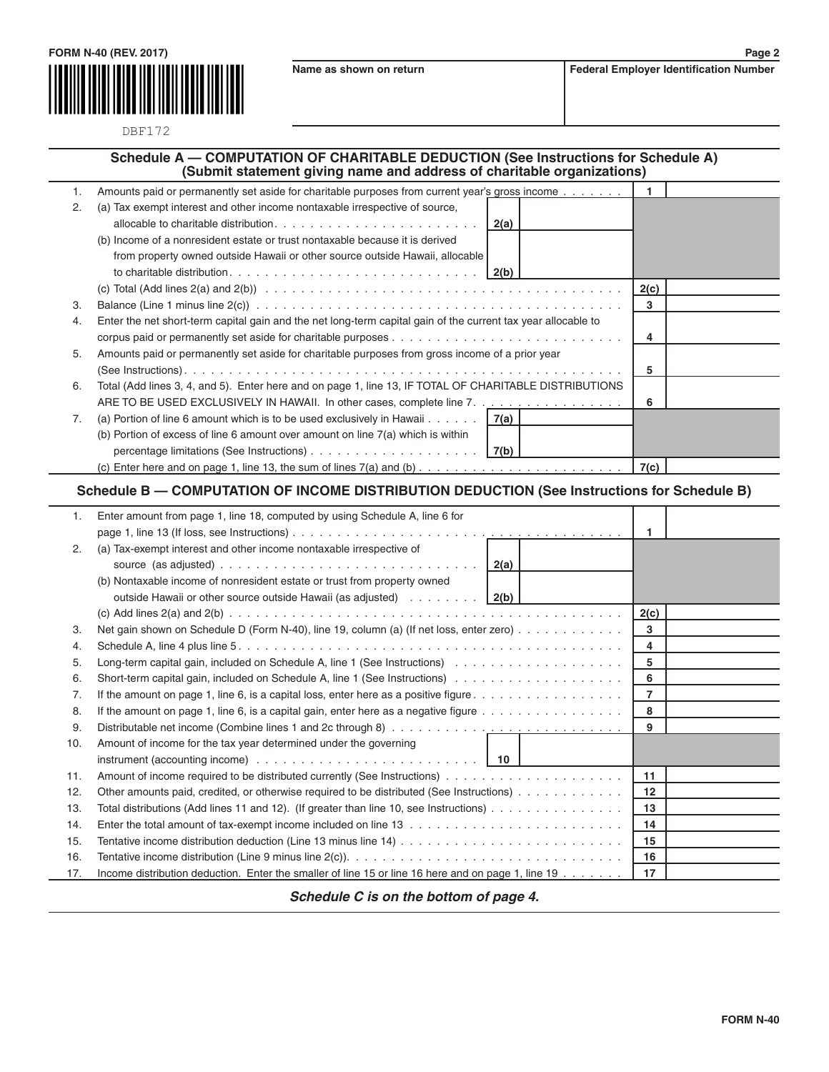

DBF172

## **Schedule A — COMPUTATION OF CHARITABLE DEDUCTION (See Instructions for Schedule A) (Submit statement giving name and address of charitable organizations)**

|    | Amounts paid or permanently set aside for charitable purposes from current year's gross income                   |      |      |  |
|----|------------------------------------------------------------------------------------------------------------------|------|------|--|
| 2. | (a) Tax exempt interest and other income nontaxable irrespective of source,                                      |      |      |  |
|    | allocable to charitable distribution. $\ldots$ , $\ldots$ , $\ldots$ , $\ldots$ , $\ldots$ , $\ldots$ , $\ldots$ | 2(a) |      |  |
|    | (b) Income of a nonresident estate or trust nontaxable because it is derived                                     |      |      |  |
|    | from property owned outside Hawaii or other source outside Hawaii, allocable                                     |      |      |  |
|    |                                                                                                                  |      |      |  |
|    |                                                                                                                  |      | 2(c) |  |
| 3. |                                                                                                                  |      | 3    |  |
| 4. | Enter the net short-term capital gain and the net long-term capital gain of the current tax year allocable to    |      |      |  |
|    |                                                                                                                  |      | 4    |  |
| 5. | Amounts paid or permanently set aside for charitable purposes from gross income of a prior year                  |      |      |  |
|    |                                                                                                                  |      | 5    |  |
| 6. | Total (Add lines 3, 4, and 5). Enter here and on page 1, line 13, IF TOTAL OF CHARITABLE DISTRIBUTIONS           |      |      |  |
|    | ARE TO BE USED EXCLUSIVELY IN HAWAII. In other cases, complete line 7.                                           |      | 6    |  |
| 7. | (a) Portion of line 6 amount which is to be used exclusively in Hawaii $7(a)$                                    |      |      |  |
|    | (b) Portion of excess of line 6 amount over amount on line $7(a)$ which is within                                |      |      |  |
|    |                                                                                                                  |      |      |  |
|    |                                                                                                                  |      | 7(c) |  |

## **Schedule B — COMPUTATION OF INCOME DISTRIBUTION DEDUCTION (See Instructions for Schedule B)**

| 1.  | Enter amount from page 1, line 18, computed by using Schedule A, line 6 for                                               |                   |  |
|-----|---------------------------------------------------------------------------------------------------------------------------|-------------------|--|
|     |                                                                                                                           | 1                 |  |
| 2.  | (a) Tax-exempt interest and other income nontaxable irrespective of                                                       |                   |  |
|     |                                                                                                                           |                   |  |
|     | (b) Nontaxable income of nonresident estate or trust from property owned                                                  |                   |  |
|     | outside Hawaii or other source outside Hawaii (as adjusted) $\ldots \ldots \ldots$                                        |                   |  |
|     |                                                                                                                           | 2(c)              |  |
| 3.  | Net gain shown on Schedule D (Form N-40), line 19, column (a) (If net loss, enter zero)                                   | 3                 |  |
| 4.  |                                                                                                                           | 4                 |  |
| 5.  |                                                                                                                           | 5                 |  |
| 6.  |                                                                                                                           | 6                 |  |
| 7.  | If the amount on page 1, line 6, is a capital loss, enter here as a positive figure $\dots \dots \dots \dots \dots \dots$ | $\overline{7}$    |  |
| 8.  | If the amount on page 1, line 6, is a capital gain, enter here as a negative figure $\dots \dots \dots \dots \dots \dots$ | 8                 |  |
| 9.  |                                                                                                                           | 9                 |  |
| 10. | Amount of income for the tax year determined under the governing                                                          |                   |  |
|     | instrument (accounting income) $\ldots \ldots \ldots \ldots \ldots \ldots \ldots \ldots \ldots$   10                      |                   |  |
| 11. |                                                                                                                           | 11                |  |
| 12. | Other amounts paid, credited, or otherwise required to be distributed (See Instructions)                                  | $12 \overline{ }$ |  |
| 13. | Total distributions (Add lines 11 and 12). (If greater than line 10, see Instructions) $\dots \dots \dots \dots \dots$    | 13                |  |
| 14. |                                                                                                                           | 14                |  |
| 15. | Tentative income distribution deduction (Line 13 minus line $14)$                                                         | 15                |  |
| 16. |                                                                                                                           | 16                |  |
| 17. | Income distribution deduction. Enter the smaller of line 15 or line 16 here and on page 1, line 19                        | 17                |  |

*Schedule C is on the bottom of page 4.*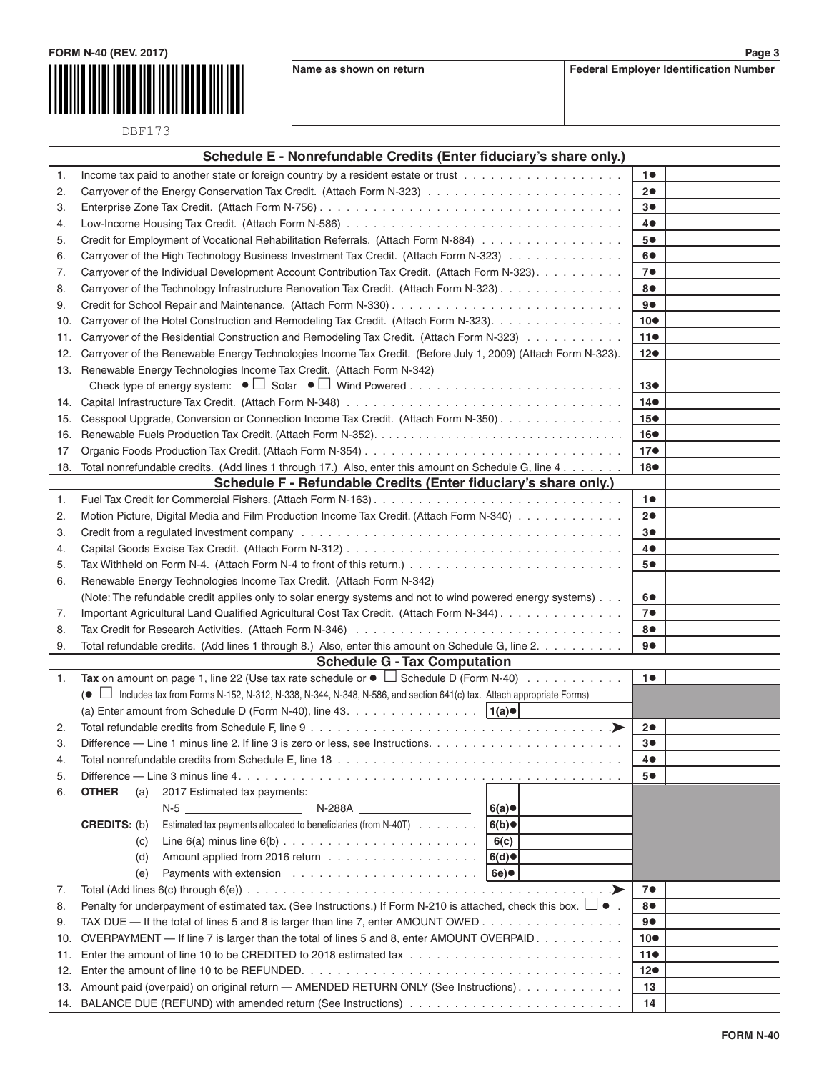



DBF173

|                | Schedule E - Nonrefundable Credits (Enter fiduciary's share only.)                                                                                                                                                            |                       |                 |
|----------------|-------------------------------------------------------------------------------------------------------------------------------------------------------------------------------------------------------------------------------|-----------------------|-----------------|
| 1.             |                                                                                                                                                                                                                               |                       | 10              |
| 2.             |                                                                                                                                                                                                                               |                       | 20              |
| 3.             |                                                                                                                                                                                                                               |                       | 30              |
| 4.             |                                                                                                                                                                                                                               |                       | 4●              |
| 5.             | Credit for Employment of Vocational Rehabilitation Referrals. (Attach Form N-884)                                                                                                                                             |                       | 5●              |
| 6.             | Carryover of the High Technology Business Investment Tax Credit. (Attach Form N-323)                                                                                                                                          |                       | 6●              |
| 7.             | Carryover of the Individual Development Account Contribution Tax Credit. (Attach Form N-323).                                                                                                                                 |                       | 7 <sup>°</sup>  |
| 8.             | Carryover of the Technology Infrastructure Renovation Tax Credit. (Attach Form N-323).                                                                                                                                        |                       | 8●              |
| 9.             |                                                                                                                                                                                                                               |                       | 9●              |
| 10.            | Carryover of the Hotel Construction and Remodeling Tax Credit. (Attach Form N-323).                                                                                                                                           |                       | $10\bullet$     |
| 11.            | Carryover of the Residential Construction and Remodeling Tax Credit. (Attach Form N-323)                                                                                                                                      |                       | 11 <sub>•</sub> |
| 12.            | Carryover of the Renewable Energy Technologies Income Tax Credit. (Before July 1, 2009) (Attach Form N-323).                                                                                                                  |                       | 12 <sub>o</sub> |
|                | 13. Renewable Energy Technologies Income Tax Credit. (Attach Form N-342)                                                                                                                                                      |                       |                 |
|                |                                                                                                                                                                                                                               |                       | 130             |
| 14.            |                                                                                                                                                                                                                               |                       | $14\bullet$     |
| 15.            | Cesspool Upgrade, Conversion or Connection Income Tax Credit. (Attach Form N-350).                                                                                                                                            |                       | 15 <sup>o</sup> |
| 16.            |                                                                                                                                                                                                                               |                       | 16●             |
| 17             |                                                                                                                                                                                                                               |                       | 17 <sup>o</sup> |
| 18.            | Total nonrefundable credits. (Add lines 1 through 17.) Also, enter this amount on Schedule G, line 4                                                                                                                          |                       | 18●             |
|                | Schedule F - Refundable Credits (Enter fiduciary's share only.)                                                                                                                                                               |                       |                 |
| 1.             |                                                                                                                                                                                                                               |                       | 10              |
| 2.             | Motion Picture, Digital Media and Film Production Income Tax Credit. (Attach Form N-340)                                                                                                                                      |                       | 20              |
| 3.             | Credit from a regulated investment company enterstanding and contained a series of the contact of the contact of the contact of the contact of the contact of the contact of the contact of the contact of the contact of the |                       | 3●              |
| 4.             |                                                                                                                                                                                                                               |                       | 4●              |
| 5.             |                                                                                                                                                                                                                               |                       | 5●              |
| 6.             | Renewable Energy Technologies Income Tax Credit. (Attach Form N-342)                                                                                                                                                          |                       |                 |
|                | (Note: The refundable credit applies only to solar energy systems and not to wind powered energy systems).                                                                                                                    |                       | 60              |
| 7.             | Important Agricultural Land Qualified Agricultural Cost Tax Credit. (Attach Form N-344).                                                                                                                                      |                       | 7 <sub>•</sub>  |
| 8.             |                                                                                                                                                                                                                               |                       | 8●              |
| 9.             | Total refundable credits. (Add lines 1 through 8.) Also, enter this amount on Schedule G, line 2.                                                                                                                             |                       | 9●              |
|                | <b>Schedule G - Tax Computation</b>                                                                                                                                                                                           |                       |                 |
| $\mathbf{1}$ . | Tax on amount on page 1, line 22 (Use tax rate schedule or $\bullet$ $\Box$ Schedule D (Form N-40)                                                                                                                            |                       | 10              |
|                | (● □ Includes tax from Forms N-152, N-312, N-338, N-344, N-348, N-586, and section 641(c) tax. Attach appropriate Forms)                                                                                                      |                       |                 |
|                | (a) Enter amount from Schedule D (Form N-40), line 43.<br>$ 1(a)$ ●                                                                                                                                                           |                       |                 |
| 2.             |                                                                                                                                                                                                                               |                       | 20              |
| З.             |                                                                                                                                                                                                                               |                       | 3●              |
| 4.             |                                                                                                                                                                                                                               | 4●                    |                 |
| 5.             |                                                                                                                                                                                                                               |                       | 5●              |
| 6.             | <b>OTHER</b><br>2017 Estimated tax payments:<br>(a)                                                                                                                                                                           |                       |                 |
|                | N-5<br>N-288A                                                                                                                                                                                                                 | 6(a)                  |                 |
|                | Estimated tax payments allocated to beneficiaries (from N-40T)<br><b>CREDITS: (b)</b>                                                                                                                                         | 6(b)                  |                 |
|                | (c)                                                                                                                                                                                                                           | 6(c)                  |                 |
|                | (d)                                                                                                                                                                                                                           | 6(d)                  |                 |
|                | (e)                                                                                                                                                                                                                           | 6e)                   |                 |
| 7.             |                                                                                                                                                                                                                               | $\cdot$ $\rightarrow$ | 7●              |
| 8.             | Penalty for underpayment of estimated tax. (See Instructions.) If Form N-210 is attached, check this box. $\Box \bullet$ .<br>8●                                                                                              |                       |                 |
| 9.             | TAX DUE — If the total of lines 5 and 8 is larger than line 7, enter AMOUNT OWED<br>90                                                                                                                                        |                       |                 |
| 10.            | OVERPAYMENT — If line 7 is larger than the total of lines 5 and 8, enter AMOUNT OVERPAID.<br>$10\bullet$                                                                                                                      |                       |                 |
| 11.            |                                                                                                                                                                                                                               | 110                   |                 |
| 12.            | 12●                                                                                                                                                                                                                           |                       |                 |
| 13.            | Amount paid (overpaid) on original return - AMENDED RETURN ONLY (See Instructions).                                                                                                                                           | 13                    |                 |
| 14.            |                                                                                                                                                                                                                               | 14                    |                 |